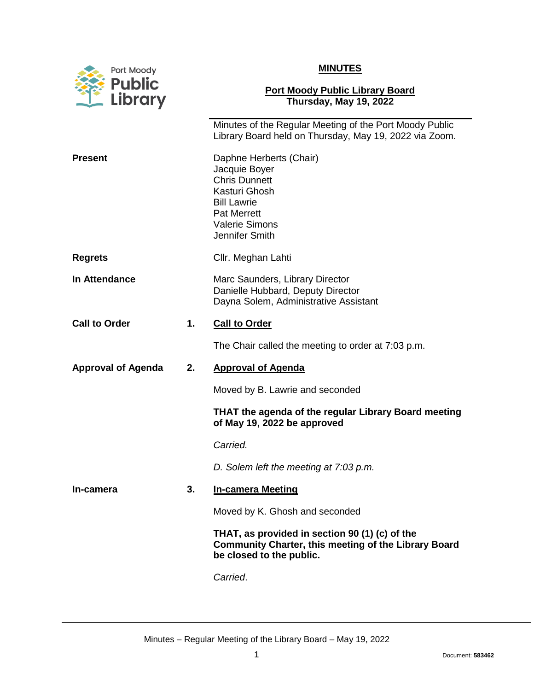

## **MINUTES**

## **Port Moody Public Library Board Thursday, May 19, 2022**

|                           |    | Minutes of the Regular Meeting of the Port Moody Public<br>Library Board held on Thursday, May 19, 2022 via Zoom.                                                        |
|---------------------------|----|--------------------------------------------------------------------------------------------------------------------------------------------------------------------------|
| <b>Present</b>            |    | Daphne Herberts (Chair)<br>Jacquie Boyer<br><b>Chris Dunnett</b><br>Kasturi Ghosh<br><b>Bill Lawrie</b><br><b>Pat Merrett</b><br><b>Valerie Simons</b><br>Jennifer Smith |
| <b>Regrets</b>            |    | Cllr. Meghan Lahti                                                                                                                                                       |
| In Attendance             |    | Marc Saunders, Library Director<br>Danielle Hubbard, Deputy Director<br>Dayna Solem, Administrative Assistant                                                            |
| <b>Call to Order</b>      | 1. | <b>Call to Order</b>                                                                                                                                                     |
|                           |    | The Chair called the meeting to order at 7:03 p.m.                                                                                                                       |
|                           |    |                                                                                                                                                                          |
| <b>Approval of Agenda</b> | 2. | <b>Approval of Agenda</b>                                                                                                                                                |
|                           |    | Moved by B. Lawrie and seconded                                                                                                                                          |
|                           |    | THAT the agenda of the regular Library Board meeting<br>of May 19, 2022 be approved                                                                                      |
|                           |    | Carried.                                                                                                                                                                 |
|                           |    | D. Solem left the meeting at 7:03 p.m.                                                                                                                                   |
| In-camera                 | 3. | <b>In-camera Meeting</b>                                                                                                                                                 |
|                           |    | Moved by K. Ghosh and seconded                                                                                                                                           |
|                           |    | THAT, as provided in section 90 (1) (c) of the<br><b>Community Charter, this meeting of the Library Board</b><br>be closed to the public.                                |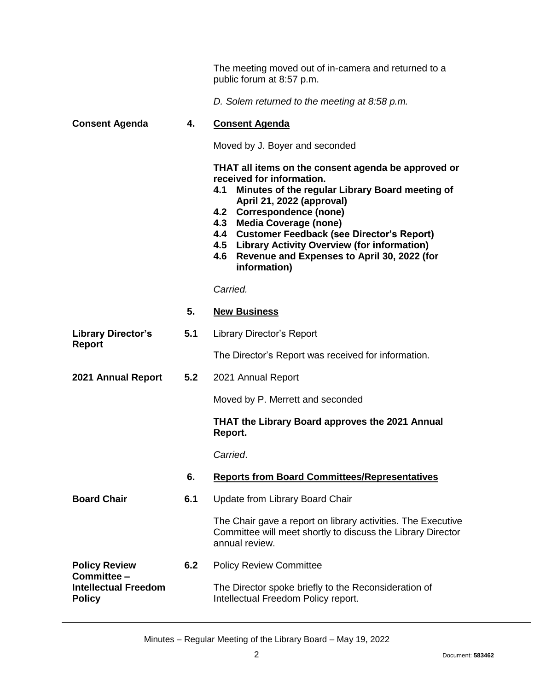The meeting moved out of in-camera and returned to a public forum at 8:57 p.m.

*D. Solem returned to the meeting at 8:58 p.m.*

## **Consent Agenda 4. Consent Agenda**

Moved by J. Boyer and seconded

**THAT all items on the consent agenda be approved or received for information.**

- **4.1 Minutes of the regular Library Board meeting of April 21, 2022 (approval)**
- **4.2 Correspondence (none)**
- **4.3 Media Coverage (none)**
- **4.4 Customer Feedback (see Director's Report)**
- **4.5 Library Activity Overview (for information)**
- **4.6 Revenue and Expenses to April 30, 2022 (for information)**

*Carried.*

|                                                             | 5.  | <b>New Business</b>                                                                                                                           |
|-------------------------------------------------------------|-----|-----------------------------------------------------------------------------------------------------------------------------------------------|
| <b>Library Director's</b><br><b>Report</b>                  | 5.1 | Library Director's Report                                                                                                                     |
|                                                             |     | The Director's Report was received for information.                                                                                           |
| 2021 Annual Report                                          | 5.2 | 2021 Annual Report                                                                                                                            |
|                                                             |     | Moved by P. Merrett and seconded                                                                                                              |
|                                                             |     | <b>THAT the Library Board approves the 2021 Annual</b><br>Report.                                                                             |
|                                                             |     | Carried.                                                                                                                                      |
|                                                             | 6.  | <b>Reports from Board Committees/Representatives</b>                                                                                          |
| <b>Board Chair</b>                                          | 6.1 | Update from Library Board Chair                                                                                                               |
|                                                             |     | The Chair gave a report on library activities. The Executive<br>Committee will meet shortly to discuss the Library Director<br>annual review. |
| <b>Policy Review</b>                                        | 6.2 | <b>Policy Review Committee</b>                                                                                                                |
| Committee -<br><b>Intellectual Freedom</b><br><b>Policy</b> |     | The Director spoke briefly to the Reconsideration of<br>Intellectual Freedom Policy report.                                                   |